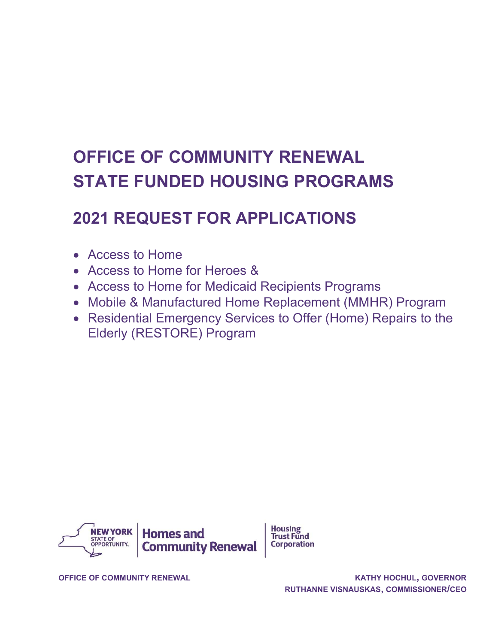# OFFICE OF COMMUNITY RENEWAL STATE FUNDED HOUSING PROGRAMS

# 2021 REQUEST FOR APPLICATIONS

- Access to Home
- Access to Home for Heroes &
- Access to Home for Medicaid Recipients Programs
- Mobile & Manufactured Home Replacement (MMHR) Program
- Residential Emergency Services to Offer (Home) Repairs to the Elderly (RESTORE) Program



**Housing Trust Fund Corporation** 

OFFICE OF COMMUNITY RENEWAL **COMMUNITY RENEWAL CONFIDENT CONTRACTLY ASSESS**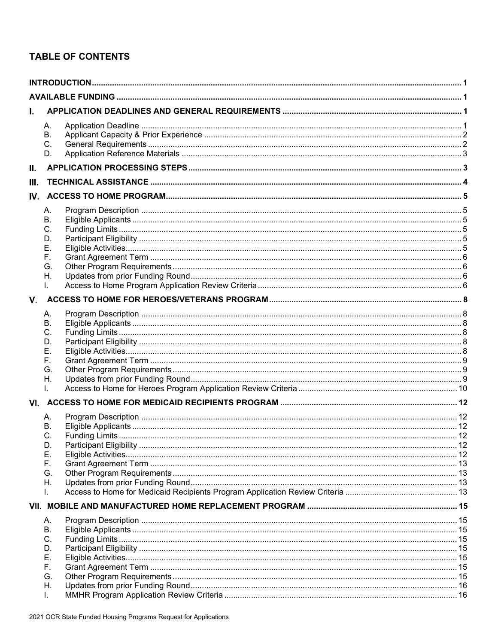# **TABLE OF CONTENTS**

| ı.  |                                                                      |  |  |  |
|-----|----------------------------------------------------------------------|--|--|--|
|     | А.<br>В.<br>C.<br>D.                                                 |  |  |  |
| II. |                                                                      |  |  |  |
| Ш.  |                                                                      |  |  |  |
|     |                                                                      |  |  |  |
|     |                                                                      |  |  |  |
|     | А.<br>В.<br>C.<br>D.<br>Е.<br>F.                                     |  |  |  |
|     | G.<br>Η.                                                             |  |  |  |
|     |                                                                      |  |  |  |
| V.  |                                                                      |  |  |  |
|     | А.                                                                   |  |  |  |
|     | В.<br>C.<br>D.<br>Е.<br>F.<br>G.<br>Н.<br>I.<br>А.<br>В.<br>C.<br>D. |  |  |  |
|     | Е.<br>F.                                                             |  |  |  |
|     | G.                                                                   |  |  |  |
|     | Η.                                                                   |  |  |  |
|     | ı.                                                                   |  |  |  |
|     |                                                                      |  |  |  |
|     | А.<br>В.<br>C.<br>D.<br>Е.<br>F.<br>G.<br>Н.<br>ı.                   |  |  |  |
|     |                                                                      |  |  |  |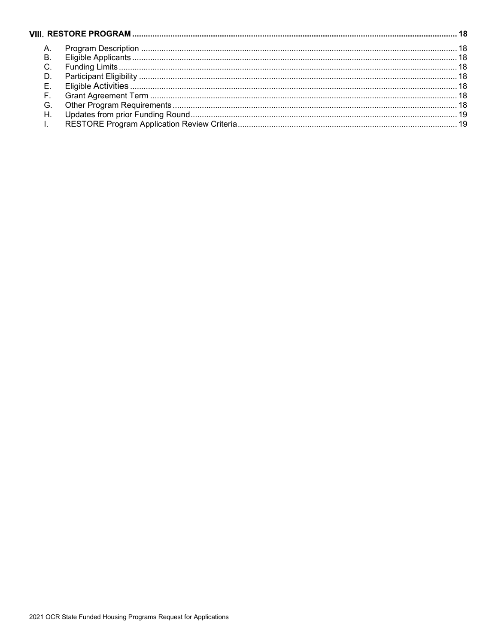| A. |  |  |  |  |
|----|--|--|--|--|
| B  |  |  |  |  |
|    |  |  |  |  |
|    |  |  |  |  |
| Е. |  |  |  |  |
| F  |  |  |  |  |
| G  |  |  |  |  |
| н  |  |  |  |  |
|    |  |  |  |  |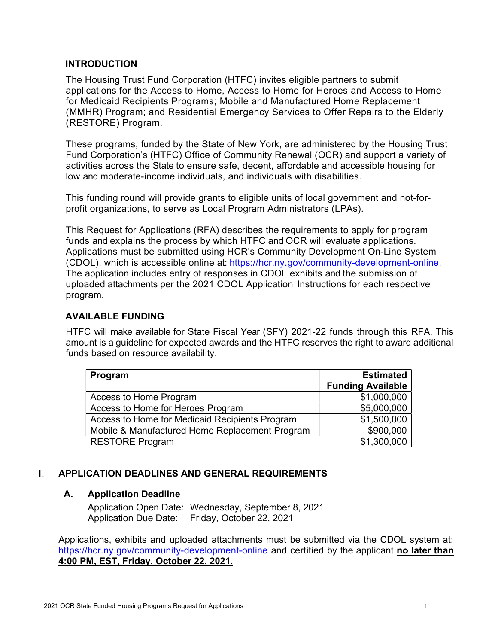### INTRODUCTION

The Housing Trust Fund Corporation (HTFC) invites eligible partners to submit applications for the Access to Home, Access to Home for Heroes and Access to Home for Medicaid Recipients Programs; Mobile and Manufactured Home Replacement (MMHR) Program; and Residential Emergency Services to Offer Repairs to the Elderly (RESTORE) Program.

These programs, funded by the State of New York, are administered by the Housing Trust Fund Corporation's (HTFC) Office of Community Renewal (OCR) and support a variety of activities across the State to ensure safe, decent, affordable and accessible housing for low and moderate-income individuals, and individuals with disabilities.

This funding round will provide grants to eligible units of local government and not-forprofit organizations, to serve as Local Program Administrators (LPAs).

This Request for Applications (RFA) describes the requirements to apply for program funds and explains the process by which HTFC and OCR will evaluate applications. Applications must be submitted using HCR's Community Development On-Line System (CDOL), which is accessible online at: https://hcr.ny.gov/community-development-online. The application includes entry of responses in CDOL exhibits and the submission of uploaded attachments per the 2021 CDOL Application Instructions for each respective program.

### AVAILABLE FUNDING

HTFC will make available for State Fiscal Year (SFY) 2021-22 funds through this RFA. This amount is a guideline for expected awards and the HTFC reserves the right to award additional funds based on resource availability.

| Program                                        | <b>Estimated</b>         |  |
|------------------------------------------------|--------------------------|--|
|                                                | <b>Funding Available</b> |  |
| Access to Home Program                         | \$1,000,000              |  |
| Access to Home for Heroes Program              | \$5,000,000              |  |
| Access to Home for Medicaid Recipients Program | \$1,500,000              |  |
| Mobile & Manufactured Home Replacement Program | \$900,000                |  |
| <b>RESTORE Program</b>                         | \$1,300,000              |  |

#### L. APPLICATION DEADLINES AND GENERAL REQUIREMENTS

# A. Application Deadline

Application Open Date: Wednesday, September 8, 2021 Application Due Date: Friday, October 22, 2021

Applications, exhibits and uploaded attachments must be submitted via the CDOL system at: https://hcr.ny.gov/community-development-online and certified by the applicant no later than 4:00 PM, EST, Friday, October 22, 2021.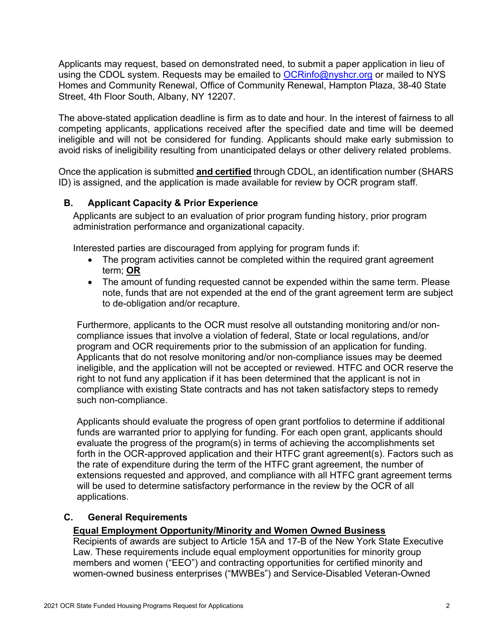Applicants may request, based on demonstrated need, to submit a paper application in lieu of using the CDOL system. Requests may be emailed to  $OCRinfo@nyshcr.org$  or mailed to NYS Homes and Community Renewal, Office of Community Renewal, Hampton Plaza, 38-40 State Street, 4th Floor South, Albany, NY 12207.

The above-stated application deadline is firm as to date and hour. In the interest of fairness to all competing applicants, applications received after the specified date and time will be deemed ineligible and will not be considered for funding. Applicants should make early submission to avoid risks of ineligibility resulting from unanticipated delays or other delivery related problems.

Once the application is submitted and certified through CDOL, an identification number (SHARS ID) is assigned, and the application is made available for review by OCR program staff.

# B. Applicant Capacity & Prior Experience

Applicants are subject to an evaluation of prior program funding history, prior program administration performance and organizational capacity.

Interested parties are discouraged from applying for program funds if:

- The program activities cannot be completed within the required grant agreement term; OR
- The amount of funding requested cannot be expended within the same term. Please note, funds that are not expended at the end of the grant agreement term are subject to de-obligation and/or recapture.

Furthermore, applicants to the OCR must resolve all outstanding monitoring and/or noncompliance issues that involve a violation of federal, State or local regulations, and/or program and OCR requirements prior to the submission of an application for funding. Applicants that do not resolve monitoring and/or non-compliance issues may be deemed ineligible, and the application will not be accepted or reviewed. HTFC and OCR reserve the right to not fund any application if it has been determined that the applicant is not in compliance with existing State contracts and has not taken satisfactory steps to remedy such non-compliance.

Applicants should evaluate the progress of open grant portfolios to determine if additional funds are warranted prior to applying for funding. For each open grant, applicants should evaluate the progress of the program(s) in terms of achieving the accomplishments set forth in the OCR-approved application and their HTFC grant agreement(s). Factors such as the rate of expenditure during the term of the HTFC grant agreement, the number of extensions requested and approved, and compliance with all HTFC grant agreement terms will be used to determine satisfactory performance in the review by the OCR of all applications.

#### C. General Requirements

#### Equal Employment Opportunity/Minority and Women Owned Business

Recipients of awards are subject to Article 15A and 17-B of the New York State Executive Law. These requirements include equal employment opportunities for minority group members and women ("EEO") and contracting opportunities for certified minority and women-owned business enterprises ("MWBEs") and Service-Disabled Veteran-Owned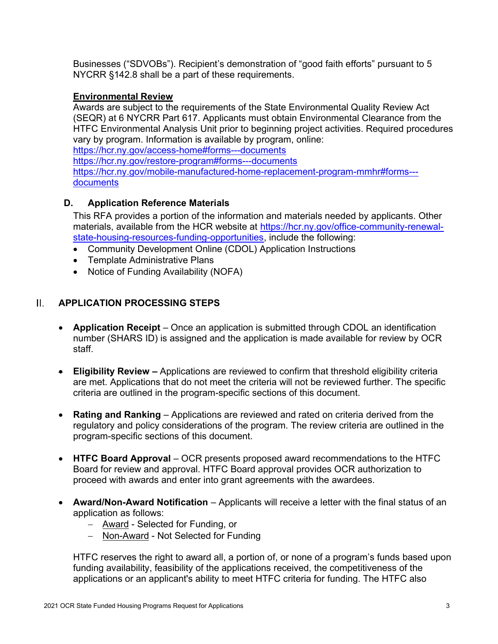Businesses ("SDVOBs"). Recipient's demonstration of "good faith efforts" pursuant to 5 NYCRR §142.8 shall be a part of these requirements.

# Environmental Review

Awards are subject to the requirements of the State Environmental Quality Review Act (SEQR) at 6 NYCRR Part 617. Applicants must obtain Environmental Clearance from the HTFC Environmental Analysis Unit prior to beginning project activities. Required procedures vary by program. Information is available by program, online:

https://hcr.ny.gov/access-home#forms---documents

https://hcr.ny.gov/restore-program#forms---documents

https://hcr.ny.gov/mobile-manufactured-home-replacement-program-mmhr#forms-- documents

### D. Application Reference Materials

This RFA provides a portion of the information and materials needed by applicants. Other materials, available from the HCR website at https://hcr.ny.gov/office-community-renewalstate-housing-resources-funding-opportunities, include the following:

- Community Development Online (CDOL) Application Instructions
- Template Administrative Plans
- Notice of Funding Availability (NOFA)

#### П. APPLICATION PROCESSING STEPS

- Application Receipt Once an application is submitted through CDOL an identification number (SHARS ID) is assigned and the application is made available for review by OCR staff.
- **Eligibility Review –** Applications are reviewed to confirm that threshold eligibility criteria are met. Applications that do not meet the criteria will not be reviewed further. The specific criteria are outlined in the program-specific sections of this document.
- Rating and Ranking Applications are reviewed and rated on criteria derived from the regulatory and policy considerations of the program. The review criteria are outlined in the program-specific sections of this document.
- HTFC Board Approval OCR presents proposed award recommendations to the HTFC Board for review and approval. HTFC Board approval provides OCR authorization to proceed with awards and enter into grant agreements with the awardees.
- Award/Non-Award Notification Applicants will receive a letter with the final status of an application as follows:
	- Award Selected for Funding, or
	- Non-Award Not Selected for Funding

HTFC reserves the right to award all, a portion of, or none of a program's funds based upon funding availability, feasibility of the applications received, the competitiveness of the applications or an applicant's ability to meet HTFC criteria for funding. The HTFC also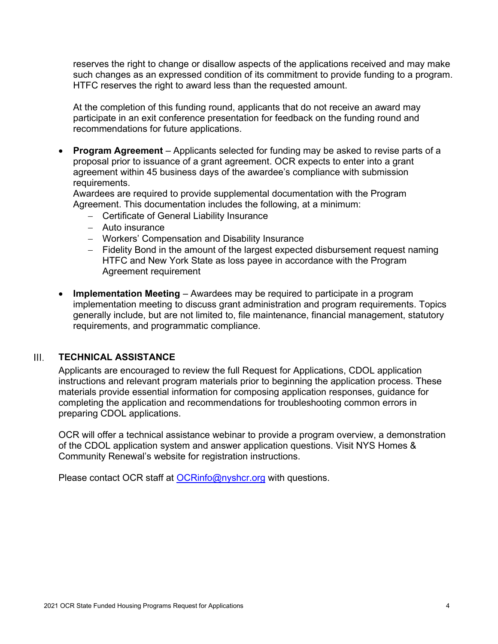reserves the right to change or disallow aspects of the applications received and may make such changes as an expressed condition of its commitment to provide funding to a program. HTFC reserves the right to award less than the requested amount.

At the completion of this funding round, applicants that do not receive an award may participate in an exit conference presentation for feedback on the funding round and recommendations for future applications.

• Program Agreement – Applicants selected for funding may be asked to revise parts of a proposal prior to issuance of a grant agreement. OCR expects to enter into a grant agreement within 45 business days of the awardee's compliance with submission requirements.

Awardees are required to provide supplemental documentation with the Program Agreement. This documentation includes the following, at a minimum:

- Certificate of General Liability Insurance
- Auto insurance
- Workers' Compensation and Disability Insurance
- Fidelity Bond in the amount of the largest expected disbursement request naming HTFC and New York State as loss payee in accordance with the Program Agreement requirement
- Implementation Meeting Awardees may be required to participate in a program implementation meeting to discuss grant administration and program requirements. Topics generally include, but are not limited to, file maintenance, financial management, statutory requirements, and programmatic compliance.

#### $\mathbf{III}_{\mathbf{r}}$ TECHNICAL ASSISTANCE

Applicants are encouraged to review the full Request for Applications, CDOL application instructions and relevant program materials prior to beginning the application process. These materials provide essential information for composing application responses, guidance for completing the application and recommendations for troubleshooting common errors in preparing CDOL applications.

OCR will offer a technical assistance webinar to provide a program overview, a demonstration of the CDOL application system and answer application questions. Visit NYS Homes & Community Renewal's website for registration instructions.

Please contact OCR staff at **OCRinfo@nyshcr.org** with questions.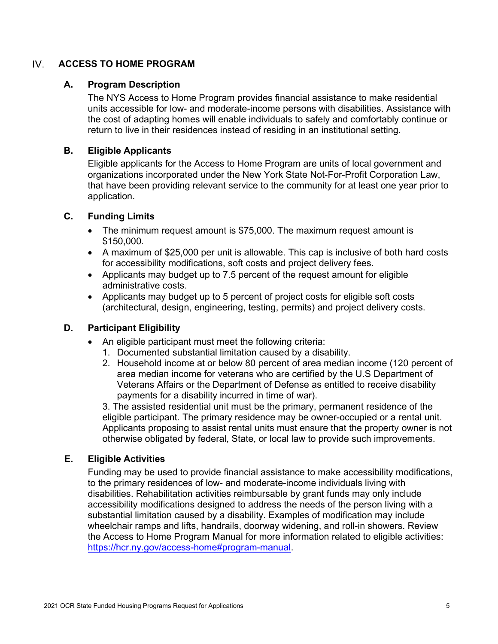#### $IV.$ ACCESS TO HOME PROGRAM

### A. Program Description

The NYS Access to Home Program provides financial assistance to make residential units accessible for low- and moderate-income persons with disabilities. Assistance with the cost of adapting homes will enable individuals to safely and comfortably continue or return to live in their residences instead of residing in an institutional setting.

### B. Eligible Applicants

Eligible applicants for the Access to Home Program are units of local government and organizations incorporated under the New York State Not-For-Profit Corporation Law, that have been providing relevant service to the community for at least one year prior to application.

### C. Funding Limits

- The minimum request amount is \$75,000. The maximum request amount is \$150,000.
- A maximum of \$25,000 per unit is allowable. This cap is inclusive of both hard costs for accessibility modifications, soft costs and project delivery fees.
- Applicants may budget up to 7.5 percent of the request amount for eligible administrative costs.
- Applicants may budget up to 5 percent of project costs for eligible soft costs (architectural, design, engineering, testing, permits) and project delivery costs.

# D. Participant Eligibility

- An eligible participant must meet the following criteria:
	- 1. Documented substantial limitation caused by a disability.
	- 2. Household income at or below 80 percent of area median income (120 percent of area median income for veterans who are certified by the U.S Department of Veterans Affairs or the Department of Defense as entitled to receive disability payments for a disability incurred in time of war).

3. The assisted residential unit must be the primary, permanent residence of the eligible participant. The primary residence may be owner-occupied or a rental unit. Applicants proposing to assist rental units must ensure that the property owner is not otherwise obligated by federal, State, or local law to provide such improvements.

#### E. Eligible Activities

Funding may be used to provide financial assistance to make accessibility modifications, to the primary residences of low- and moderate-income individuals living with disabilities. Rehabilitation activities reimbursable by grant funds may only include accessibility modifications designed to address the needs of the person living with a substantial limitation caused by a disability. Examples of modification may include wheelchair ramps and lifts, handrails, doorway widening, and roll-in showers. Review the Access to Home Program Manual for more information related to eligible activities: https://hcr.ny.gov/access-home#program-manual.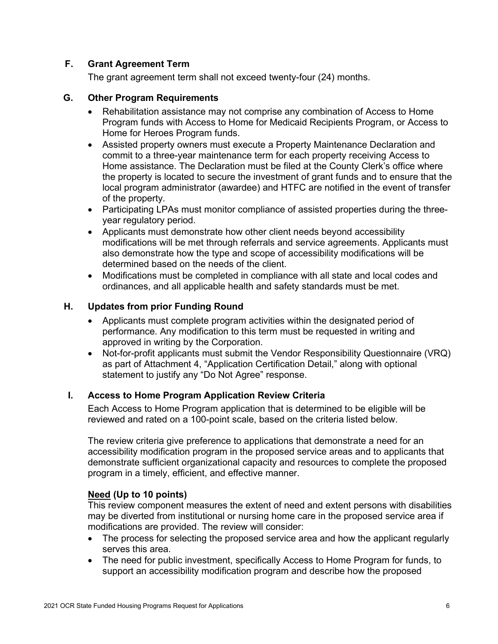# F. Grant Agreement Term

The grant agreement term shall not exceed twenty-four (24) months.

# G. Other Program Requirements

- Rehabilitation assistance may not comprise any combination of Access to Home Program funds with Access to Home for Medicaid Recipients Program, or Access to Home for Heroes Program funds.
- Assisted property owners must execute a Property Maintenance Declaration and commit to a three-year maintenance term for each property receiving Access to Home assistance. The Declaration must be filed at the County Clerk's office where the property is located to secure the investment of grant funds and to ensure that the local program administrator (awardee) and HTFC are notified in the event of transfer of the property.
- Participating LPAs must monitor compliance of assisted properties during the threeyear regulatory period.
- Applicants must demonstrate how other client needs beyond accessibility modifications will be met through referrals and service agreements. Applicants must also demonstrate how the type and scope of accessibility modifications will be determined based on the needs of the client.
- Modifications must be completed in compliance with all state and local codes and ordinances, and all applicable health and safety standards must be met.

# H. Updates from prior Funding Round

- Applicants must complete program activities within the designated period of performance. Any modification to this term must be requested in writing and approved in writing by the Corporation.
- Not-for-profit applicants must submit the Vendor Responsibility Questionnaire (VRQ) as part of Attachment 4, "Application Certification Detail," along with optional statement to justify any "Do Not Agree" response.

# I. Access to Home Program Application Review Criteria

Each Access to Home Program application that is determined to be eligible will be reviewed and rated on a 100-point scale, based on the criteria listed below.

The review criteria give preference to applications that demonstrate a need for an accessibility modification program in the proposed service areas and to applicants that demonstrate sufficient organizational capacity and resources to complete the proposed program in a timely, efficient, and effective manner.

# Need (Up to 10 points)

This review component measures the extent of need and extent persons with disabilities may be diverted from institutional or nursing home care in the proposed service area if modifications are provided. The review will consider:

- The process for selecting the proposed service area and how the applicant regularly serves this area.
- The need for public investment, specifically Access to Home Program for funds, to support an accessibility modification program and describe how the proposed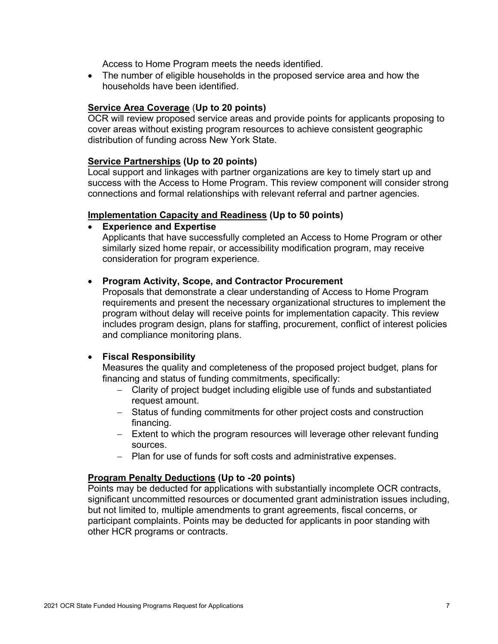Access to Home Program meets the needs identified.

 The number of eligible households in the proposed service area and how the households have been identified.

#### Service Area Coverage (Up to 20 points)

OCR will review proposed service areas and provide points for applicants proposing to cover areas without existing program resources to achieve consistent geographic distribution of funding across New York State.

#### Service Partnerships (Up to 20 points)

Local support and linkages with partner organizations are key to timely start up and success with the Access to Home Program. This review component will consider strong connections and formal relationships with relevant referral and partner agencies.

#### Implementation Capacity and Readiness (Up to 50 points)

Experience and Expertise

Applicants that have successfully completed an Access to Home Program or other similarly sized home repair, or accessibility modification program, may receive consideration for program experience.

#### • Program Activity, Scope, and Contractor Procurement

Proposals that demonstrate a clear understanding of Access to Home Program requirements and present the necessary organizational structures to implement the program without delay will receive points for implementation capacity. This review includes program design, plans for staffing, procurement, conflict of interest policies and compliance monitoring plans.

#### Fiscal Responsibility

Measures the quality and completeness of the proposed project budget, plans for financing and status of funding commitments, specifically:

- Clarity of project budget including eligible use of funds and substantiated request amount.
- Status of funding commitments for other project costs and construction financing.
- Extent to which the program resources will leverage other relevant funding sources.
- Plan for use of funds for soft costs and administrative expenses.

#### Program Penalty Deductions (Up to -20 points)

Points may be deducted for applications with substantially incomplete OCR contracts, significant uncommitted resources or documented grant administration issues including, but not limited to, multiple amendments to grant agreements, fiscal concerns, or participant complaints. Points may be deducted for applicants in poor standing with other HCR programs or contracts.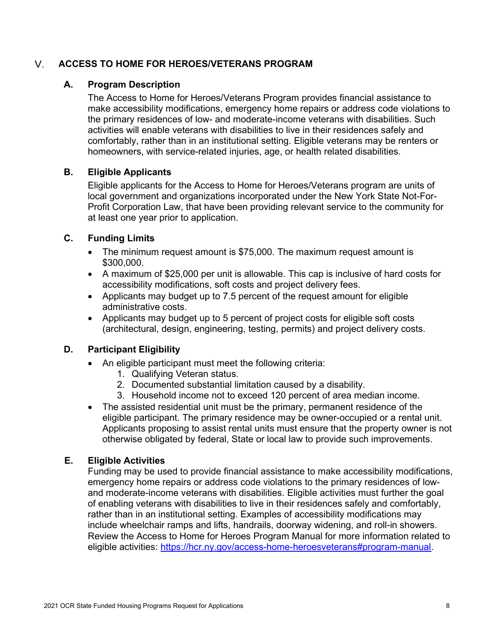#### $V_{\odot}$ ACCESS TO HOME FOR HEROES/VETERANS PROGRAM

# A. Program Description

The Access to Home for Heroes/Veterans Program provides financial assistance to make accessibility modifications, emergency home repairs or address code violations to the primary residences of low- and moderate-income veterans with disabilities. Such activities will enable veterans with disabilities to live in their residences safely and comfortably, rather than in an institutional setting. Eligible veterans may be renters or homeowners, with service-related injuries, age, or health related disabilities.

# B. Eligible Applicants

Eligible applicants for the Access to Home for Heroes/Veterans program are units of local government and organizations incorporated under the New York State Not-For-Profit Corporation Law, that have been providing relevant service to the community for at least one year prior to application.

# C. Funding Limits

- The minimum request amount is \$75,000. The maximum request amount is \$300,000.
- A maximum of \$25,000 per unit is allowable. This cap is inclusive of hard costs for accessibility modifications, soft costs and project delivery fees.
- Applicants may budget up to 7.5 percent of the request amount for eligible administrative costs.
- Applicants may budget up to 5 percent of project costs for eligible soft costs (architectural, design, engineering, testing, permits) and project delivery costs.

# D. Participant Eligibility

- An eligible participant must meet the following criteria:
	- 1. Qualifying Veteran status.
	- 2. Documented substantial limitation caused by a disability.
	- 3. Household income not to exceed 120 percent of area median income.
- The assisted residential unit must be the primary, permanent residence of the eligible participant. The primary residence may be owner-occupied or a rental unit. Applicants proposing to assist rental units must ensure that the property owner is not otherwise obligated by federal, State or local law to provide such improvements.

# E. Eligible Activities

Funding may be used to provide financial assistance to make accessibility modifications, emergency home repairs or address code violations to the primary residences of lowand moderate-income veterans with disabilities. Eligible activities must further the goal of enabling veterans with disabilities to live in their residences safely and comfortably, rather than in an institutional setting. Examples of accessibility modifications may include wheelchair ramps and lifts, handrails, doorway widening, and roll-in showers. Review the Access to Home for Heroes Program Manual for more information related to eligible activities: https://hcr.ny.gov/access-home-heroesveterans#program-manual.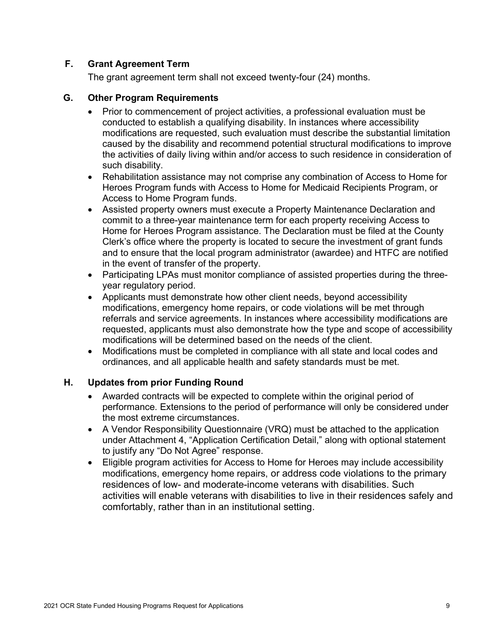# F. Grant Agreement Term

The grant agreement term shall not exceed twenty-four (24) months.

#### G. Other Program Requirements

- Prior to commencement of project activities, a professional evaluation must be conducted to establish a qualifying disability. In instances where accessibility modifications are requested, such evaluation must describe the substantial limitation caused by the disability and recommend potential structural modifications to improve the activities of daily living within and/or access to such residence in consideration of such disability.
- Rehabilitation assistance may not comprise any combination of Access to Home for Heroes Program funds with Access to Home for Medicaid Recipients Program, or Access to Home Program funds.
- Assisted property owners must execute a Property Maintenance Declaration and commit to a three-year maintenance term for each property receiving Access to Home for Heroes Program assistance. The Declaration must be filed at the County Clerk's office where the property is located to secure the investment of grant funds and to ensure that the local program administrator (awardee) and HTFC are notified in the event of transfer of the property.
- Participating LPAs must monitor compliance of assisted properties during the threeyear regulatory period.
- Applicants must demonstrate how other client needs, beyond accessibility modifications, emergency home repairs, or code violations will be met through referrals and service agreements. In instances where accessibility modifications are requested, applicants must also demonstrate how the type and scope of accessibility modifications will be determined based on the needs of the client.
- Modifications must be completed in compliance with all state and local codes and ordinances, and all applicable health and safety standards must be met.

# H. Updates from prior Funding Round

- Awarded contracts will be expected to complete within the original period of performance. Extensions to the period of performance will only be considered under the most extreme circumstances.
- A Vendor Responsibility Questionnaire (VRQ) must be attached to the application under Attachment 4, "Application Certification Detail," along with optional statement to justify any "Do Not Agree" response.
- Eligible program activities for Access to Home for Heroes may include accessibility modifications, emergency home repairs, or address code violations to the primary residences of low- and moderate-income veterans with disabilities. Such activities will enable veterans with disabilities to live in their residences safely and comfortably, rather than in an institutional setting.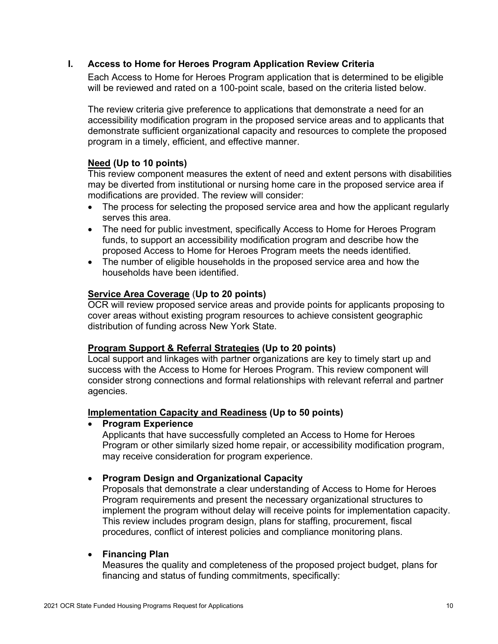# I. Access to Home for Heroes Program Application Review Criteria

Each Access to Home for Heroes Program application that is determined to be eligible will be reviewed and rated on a 100-point scale, based on the criteria listed below.

The review criteria give preference to applications that demonstrate a need for an accessibility modification program in the proposed service areas and to applicants that demonstrate sufficient organizational capacity and resources to complete the proposed program in a timely, efficient, and effective manner.

### Need (Up to 10 points)

This review component measures the extent of need and extent persons with disabilities may be diverted from institutional or nursing home care in the proposed service area if modifications are provided. The review will consider:

- The process for selecting the proposed service area and how the applicant regularly serves this area.
- The need for public investment, specifically Access to Home for Heroes Program funds, to support an accessibility modification program and describe how the proposed Access to Home for Heroes Program meets the needs identified.
- The number of eligible households in the proposed service area and how the households have been identified.

#### Service Area Coverage (Up to 20 points)

OCR will review proposed service areas and provide points for applicants proposing to cover areas without existing program resources to achieve consistent geographic distribution of funding across New York State.

#### Program Support & Referral Strategies (Up to 20 points)

Local support and linkages with partner organizations are key to timely start up and success with the Access to Home for Heroes Program. This review component will consider strong connections and formal relationships with relevant referral and partner agencies.

#### Implementation Capacity and Readiness (Up to 50 points)

#### • Program Experience

Applicants that have successfully completed an Access to Home for Heroes Program or other similarly sized home repair, or accessibility modification program, may receive consideration for program experience.

#### • Program Design and Organizational Capacity

Proposals that demonstrate a clear understanding of Access to Home for Heroes Program requirements and present the necessary organizational structures to implement the program without delay will receive points for implementation capacity. This review includes program design, plans for staffing, procurement, fiscal procedures, conflict of interest policies and compliance monitoring plans.

#### • Financing Plan

Measures the quality and completeness of the proposed project budget, plans for financing and status of funding commitments, specifically: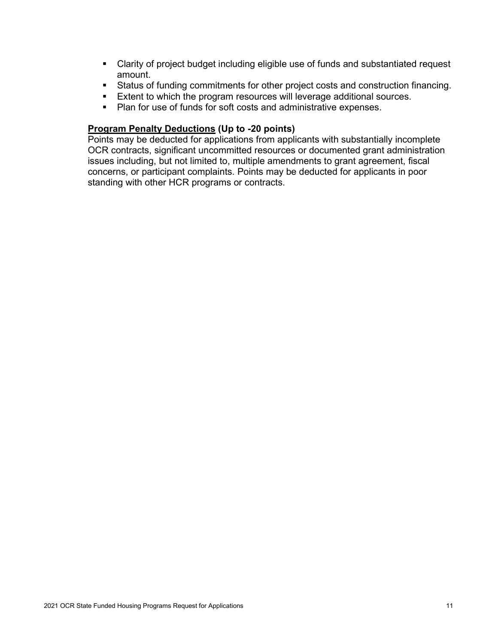- Clarity of project budget including eligible use of funds and substantiated request amount.
- Status of funding commitments for other project costs and construction financing.
- **Extent to which the program resources will leverage additional sources.**
- Plan for use of funds for soft costs and administrative expenses.

# Program Penalty Deductions (Up to -20 points)

Points may be deducted for applications from applicants with substantially incomplete OCR contracts, significant uncommitted resources or documented grant administration issues including, but not limited to, multiple amendments to grant agreement, fiscal concerns, or participant complaints. Points may be deducted for applicants in poor standing with other HCR programs or contracts.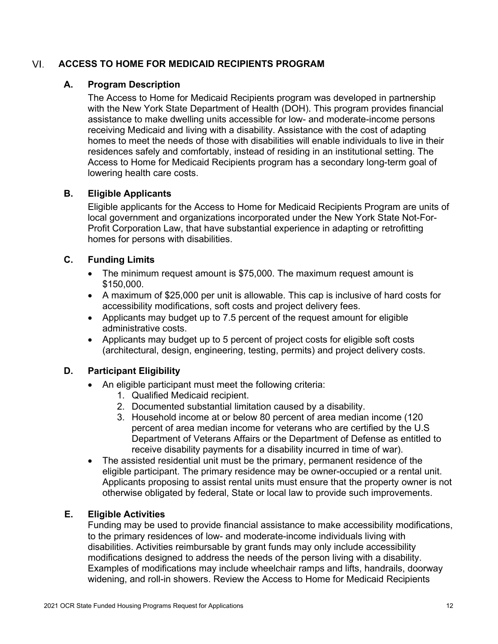#### VI. ACCESS TO HOME FOR MEDICAID RECIPIENTS PROGRAM

# A. Program Description

The Access to Home for Medicaid Recipients program was developed in partnership with the New York State Department of Health (DOH). This program provides financial assistance to make dwelling units accessible for low- and moderate-income persons receiving Medicaid and living with a disability. Assistance with the cost of adapting homes to meet the needs of those with disabilities will enable individuals to live in their residences safely and comfortably, instead of residing in an institutional setting. The Access to Home for Medicaid Recipients program has a secondary long-term goal of lowering health care costs.

# B. Eligible Applicants

Eligible applicants for the Access to Home for Medicaid Recipients Program are units of local government and organizations incorporated under the New York State Not-For-Profit Corporation Law, that have substantial experience in adapting or retrofitting homes for persons with disabilities.

# C. Funding Limits

- The minimum request amount is \$75,000. The maximum request amount is \$150,000.
- A maximum of \$25,000 per unit is allowable. This cap is inclusive of hard costs for accessibility modifications, soft costs and project delivery fees.
- Applicants may budget up to 7.5 percent of the request amount for eligible administrative costs.
- Applicants may budget up to 5 percent of project costs for eligible soft costs (architectural, design, engineering, testing, permits) and project delivery costs.

# D. Participant Eligibility

- An eligible participant must meet the following criteria:
	- 1. Qualified Medicaid recipient.
	- 2. Documented substantial limitation caused by a disability.
	- 3. Household income at or below 80 percent of area median income (120 percent of area median income for veterans who are certified by the U.S Department of Veterans Affairs or the Department of Defense as entitled to receive disability payments for a disability incurred in time of war).
- The assisted residential unit must be the primary, permanent residence of the eligible participant. The primary residence may be owner-occupied or a rental unit. Applicants proposing to assist rental units must ensure that the property owner is not otherwise obligated by federal, State or local law to provide such improvements.

# E. Eligible Activities

Funding may be used to provide financial assistance to make accessibility modifications, to the primary residences of low- and moderate-income individuals living with disabilities. Activities reimbursable by grant funds may only include accessibility modifications designed to address the needs of the person living with a disability. Examples of modifications may include wheelchair ramps and lifts, handrails, doorway widening, and roll-in showers. Review the Access to Home for Medicaid Recipients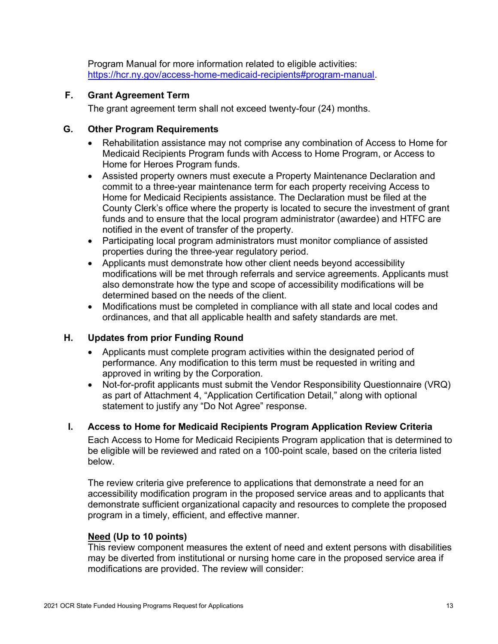Program Manual for more information related to eligible activities: https://hcr.ny.gov/access-home-medicaid-recipients#program-manual.

# F. Grant Agreement Term

The grant agreement term shall not exceed twenty-four (24) months.

### G. Other Program Requirements

- Rehabilitation assistance may not comprise any combination of Access to Home for Medicaid Recipients Program funds with Access to Home Program, or Access to Home for Heroes Program funds.
- Assisted property owners must execute a Property Maintenance Declaration and commit to a three-year maintenance term for each property receiving Access to Home for Medicaid Recipients assistance. The Declaration must be filed at the County Clerk's office where the property is located to secure the investment of grant funds and to ensure that the local program administrator (awardee) and HTFC are notified in the event of transfer of the property.
- Participating local program administrators must monitor compliance of assisted properties during the three-year regulatory period.
- Applicants must demonstrate how other client needs beyond accessibility modifications will be met through referrals and service agreements. Applicants must also demonstrate how the type and scope of accessibility modifications will be determined based on the needs of the client.
- Modifications must be completed in compliance with all state and local codes and ordinances, and that all applicable health and safety standards are met.

# H. Updates from prior Funding Round

- Applicants must complete program activities within the designated period of performance. Any modification to this term must be requested in writing and approved in writing by the Corporation.
- Not-for-profit applicants must submit the Vendor Responsibility Questionnaire (VRQ) as part of Attachment 4, "Application Certification Detail," along with optional statement to justify any "Do Not Agree" response.

# I. Access to Home for Medicaid Recipients Program Application Review Criteria

Each Access to Home for Medicaid Recipients Program application that is determined to be eligible will be reviewed and rated on a 100-point scale, based on the criteria listed below.

The review criteria give preference to applications that demonstrate a need for an accessibility modification program in the proposed service areas and to applicants that demonstrate sufficient organizational capacity and resources to complete the proposed program in a timely, efficient, and effective manner.

#### Need (Up to 10 points)

This review component measures the extent of need and extent persons with disabilities may be diverted from institutional or nursing home care in the proposed service area if modifications are provided. The review will consider: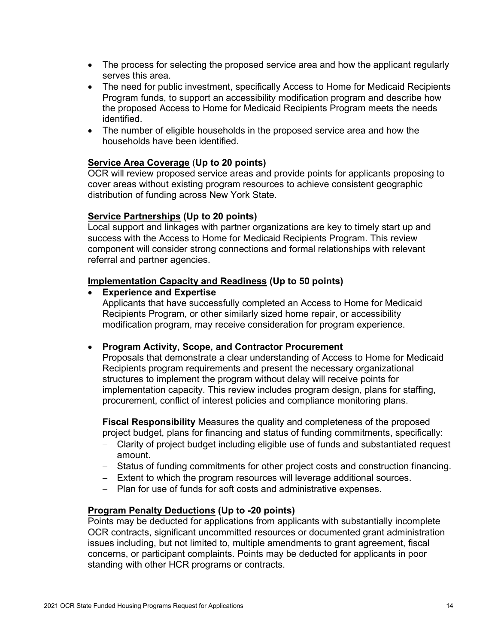- The process for selecting the proposed service area and how the applicant regularly serves this area.
- The need for public investment, specifically Access to Home for Medicaid Recipients Program funds, to support an accessibility modification program and describe how the proposed Access to Home for Medicaid Recipients Program meets the needs identified.
- The number of eligible households in the proposed service area and how the households have been identified.

### Service Area Coverage (Up to 20 points)

OCR will review proposed service areas and provide points for applicants proposing to cover areas without existing program resources to achieve consistent geographic distribution of funding across New York State.

#### Service Partnerships (Up to 20 points)

Local support and linkages with partner organizations are key to timely start up and success with the Access to Home for Medicaid Recipients Program. This review component will consider strong connections and formal relationships with relevant referral and partner agencies.

#### Implementation Capacity and Readiness (Up to 50 points)

#### Experience and Expertise

Applicants that have successfully completed an Access to Home for Medicaid Recipients Program, or other similarly sized home repair, or accessibility modification program, may receive consideration for program experience.

#### • Program Activity, Scope, and Contractor Procurement

Proposals that demonstrate a clear understanding of Access to Home for Medicaid Recipients program requirements and present the necessary organizational structures to implement the program without delay will receive points for implementation capacity. This review includes program design, plans for staffing, procurement, conflict of interest policies and compliance monitoring plans.

Fiscal Responsibility Measures the quality and completeness of the proposed project budget, plans for financing and status of funding commitments, specifically:

- Clarity of project budget including eligible use of funds and substantiated request amount.
- Status of funding commitments for other project costs and construction financing.
- Extent to which the program resources will leverage additional sources.
- Plan for use of funds for soft costs and administrative expenses.

#### Program Penalty Deductions (Up to -20 points)

Points may be deducted for applications from applicants with substantially incomplete OCR contracts, significant uncommitted resources or documented grant administration issues including, but not limited to, multiple amendments to grant agreement, fiscal concerns, or participant complaints. Points may be deducted for applicants in poor standing with other HCR programs or contracts.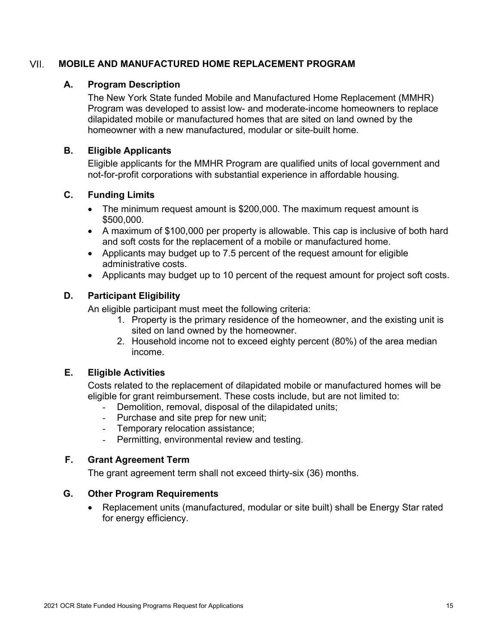#### VII. MOBILE AND MANUFACTURED HOME REPLACEMENT PROGRAM

### A. Program Description

The New York State funded Mobile and Manufactured Home Replacement (MMHR) Program was developed to assist low- and moderate-income homeowners to replace dilapidated mobile or manufactured homes that are sited on land owned by the homeowner with a new manufactured, modular or site-built home.

#### B. Eligible Applicants

Eligible applicants for the MMHR Program are qualified units of local government and not-for-profit corporations with substantial experience in affordable housing.

### C. Funding Limits

- The minimum request amount is \$200,000. The maximum request amount is \$500,000.
- A maximum of \$100,000 per property is allowable. This cap is inclusive of both hard and soft costs for the replacement of a mobile or manufactured home.
- Applicants may budget up to 7.5 percent of the request amount for eligible administrative costs.
- Applicants may budget up to 10 percent of the request amount for project soft costs.

# D. Participant Eligibility

An eligible participant must meet the following criteria:

- 1. Property is the primary residence of the homeowner, and the existing unit is sited on land owned by the homeowner.
- 2. Household income not to exceed eighty percent (80%) of the area median income.

# E. Eligible Activities

Costs related to the replacement of dilapidated mobile or manufactured homes will be eligible for grant reimbursement. These costs include, but are not limited to:

- Demolition, removal, disposal of the dilapidated units;
- Purchase and site prep for new unit;
- Temporary relocation assistance;
- Permitting, environmental review and testing.

# F. Grant Agreement Term

The grant agreement term shall not exceed thirty-six (36) months.

#### G. Other Program Requirements

 Replacement units (manufactured, modular or site built) shall be Energy Star rated for energy efficiency.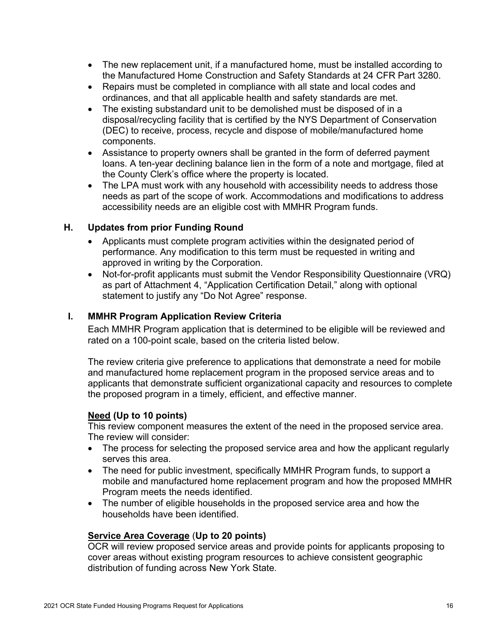- The new replacement unit, if a manufactured home, must be installed according to the Manufactured Home Construction and Safety Standards at 24 CFR Part 3280.
- Repairs must be completed in compliance with all state and local codes and ordinances, and that all applicable health and safety standards are met.
- The existing substandard unit to be demolished must be disposed of in a disposal/recycling facility that is certified by the NYS Department of Conservation (DEC) to receive, process, recycle and dispose of mobile/manufactured home components.
- Assistance to property owners shall be granted in the form of deferred payment loans. A ten-year declining balance lien in the form of a note and mortgage, filed at the County Clerk's office where the property is located.
- The LPA must work with any household with accessibility needs to address those needs as part of the scope of work. Accommodations and modifications to address accessibility needs are an eligible cost with MMHR Program funds.

### H. Updates from prior Funding Round

- Applicants must complete program activities within the designated period of performance. Any modification to this term must be requested in writing and approved in writing by the Corporation.
- Not-for-profit applicants must submit the Vendor Responsibility Questionnaire (VRQ) as part of Attachment 4, "Application Certification Detail," along with optional statement to justify any "Do Not Agree" response.

### I. MMHR Program Application Review Criteria

Each MMHR Program application that is determined to be eligible will be reviewed and rated on a 100-point scale, based on the criteria listed below.

The review criteria give preference to applications that demonstrate a need for mobile and manufactured home replacement program in the proposed service areas and to applicants that demonstrate sufficient organizational capacity and resources to complete the proposed program in a timely, efficient, and effective manner.

#### Need (Up to 10 points)

This review component measures the extent of the need in the proposed service area. The review will consider:

- The process for selecting the proposed service area and how the applicant regularly serves this area.
- The need for public investment, specifically MMHR Program funds, to support a mobile and manufactured home replacement program and how the proposed MMHR Program meets the needs identified.
- The number of eligible households in the proposed service area and how the households have been identified.

# Service Area Coverage (Up to 20 points)

OCR will review proposed service areas and provide points for applicants proposing to cover areas without existing program resources to achieve consistent geographic distribution of funding across New York State.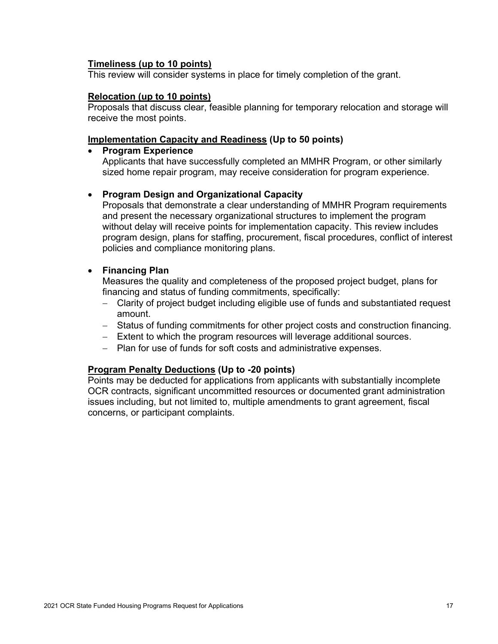#### Timeliness (up to 10 points)

This review will consider systems in place for timely completion of the grant.

#### Relocation (up to 10 points)

Proposals that discuss clear, feasible planning for temporary relocation and storage will receive the most points.

#### Implementation Capacity and Readiness (Up to 50 points)

#### • Program Experience

Applicants that have successfully completed an MMHR Program, or other similarly sized home repair program, may receive consideration for program experience.

#### • Program Design and Organizational Capacity

Proposals that demonstrate a clear understanding of MMHR Program requirements and present the necessary organizational structures to implement the program without delay will receive points for implementation capacity. This review includes program design, plans for staffing, procurement, fiscal procedures, conflict of interest policies and compliance monitoring plans.

### Financing Plan

Measures the quality and completeness of the proposed project budget, plans for financing and status of funding commitments, specifically:

- Clarity of project budget including eligible use of funds and substantiated request amount.
- Status of funding commitments for other project costs and construction financing.
- Extent to which the program resources will leverage additional sources.
- Plan for use of funds for soft costs and administrative expenses.

# Program Penalty Deductions (Up to -20 points)

Points may be deducted for applications from applicants with substantially incomplete OCR contracts, significant uncommitted resources or documented grant administration issues including, but not limited to, multiple amendments to grant agreement, fiscal concerns, or participant complaints.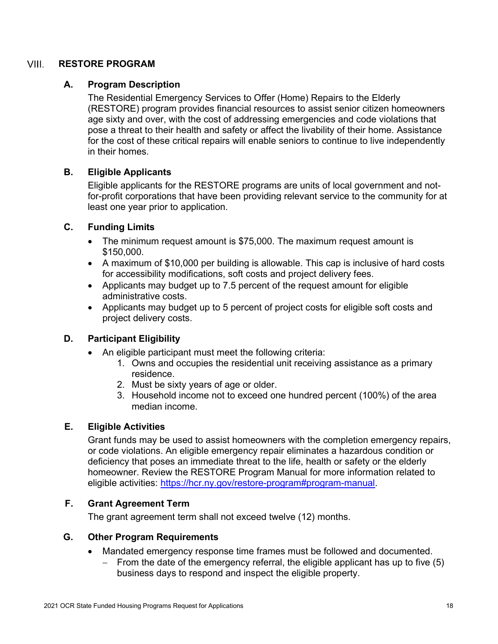#### VIII. RESTORE PROGRAM

### A. Program Description

The Residential Emergency Services to Offer (Home) Repairs to the Elderly (RESTORE) program provides financial resources to assist senior citizen homeowners age sixty and over, with the cost of addressing emergencies and code violations that pose a threat to their health and safety or affect the livability of their home. Assistance for the cost of these critical repairs will enable seniors to continue to live independently in their homes.

### B. Eligible Applicants

Eligible applicants for the RESTORE programs are units of local government and notfor-profit corporations that have been providing relevant service to the community for at least one year prior to application.

### C. Funding Limits

- The minimum request amount is \$75,000. The maximum request amount is \$150,000.
- A maximum of \$10,000 per building is allowable. This cap is inclusive of hard costs for accessibility modifications, soft costs and project delivery fees.
- Applicants may budget up to 7.5 percent of the request amount for eligible administrative costs.
- Applicants may budget up to 5 percent of project costs for eligible soft costs and project delivery costs.

# D. Participant Eligibility

- An eligible participant must meet the following criteria:
	- 1. Owns and occupies the residential unit receiving assistance as a primary residence.
	- 2. Must be sixty years of age or older.
	- 3. Household income not to exceed one hundred percent (100%) of the area median income.

#### E. Eligible Activities

Grant funds may be used to assist homeowners with the completion emergency repairs, or code violations. An eligible emergency repair eliminates a hazardous condition or deficiency that poses an immediate threat to the life, health or safety or the elderly homeowner. Review the RESTORE Program Manual for more information related to eligible activities: https://hcr.ny.gov/restore-program#program-manual.

# F. Grant Agreement Term

The grant agreement term shall not exceed twelve (12) months.

#### G. Other Program Requirements

- Mandated emergency response time frames must be followed and documented.
	- $-$  From the date of the emergency referral, the eligible applicant has up to five (5) business days to respond and inspect the eligible property.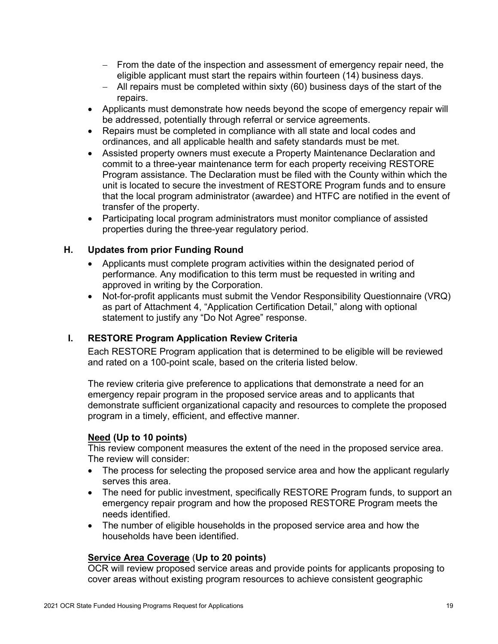- From the date of the inspection and assessment of emergency repair need, the eligible applicant must start the repairs within fourteen (14) business days.
- All repairs must be completed within sixty (60) business days of the start of the repairs.
- Applicants must demonstrate how needs beyond the scope of emergency repair will be addressed, potentially through referral or service agreements.
- Repairs must be completed in compliance with all state and local codes and ordinances, and all applicable health and safety standards must be met.
- Assisted property owners must execute a Property Maintenance Declaration and commit to a three-year maintenance term for each property receiving RESTORE Program assistance. The Declaration must be filed with the County within which the unit is located to secure the investment of RESTORE Program funds and to ensure that the local program administrator (awardee) and HTFC are notified in the event of transfer of the property.
- Participating local program administrators must monitor compliance of assisted properties during the three-year regulatory period.

# H. Updates from prior Funding Round

- Applicants must complete program activities within the designated period of performance. Any modification to this term must be requested in writing and approved in writing by the Corporation.
- Not-for-profit applicants must submit the Vendor Responsibility Questionnaire (VRQ) as part of Attachment 4, "Application Certification Detail," along with optional statement to justify any "Do Not Agree" response.

# I. RESTORE Program Application Review Criteria

Each RESTORE Program application that is determined to be eligible will be reviewed and rated on a 100-point scale, based on the criteria listed below.

The review criteria give preference to applications that demonstrate a need for an emergency repair program in the proposed service areas and to applicants that demonstrate sufficient organizational capacity and resources to complete the proposed program in a timely, efficient, and effective manner.

# Need (Up to 10 points)

This review component measures the extent of the need in the proposed service area. The review will consider:

- The process for selecting the proposed service area and how the applicant regularly serves this area.
- The need for public investment, specifically RESTORE Program funds, to support an emergency repair program and how the proposed RESTORE Program meets the needs identified.
- The number of eligible households in the proposed service area and how the households have been identified.

# Service Area Coverage (Up to 20 points)

OCR will review proposed service areas and provide points for applicants proposing to cover areas without existing program resources to achieve consistent geographic